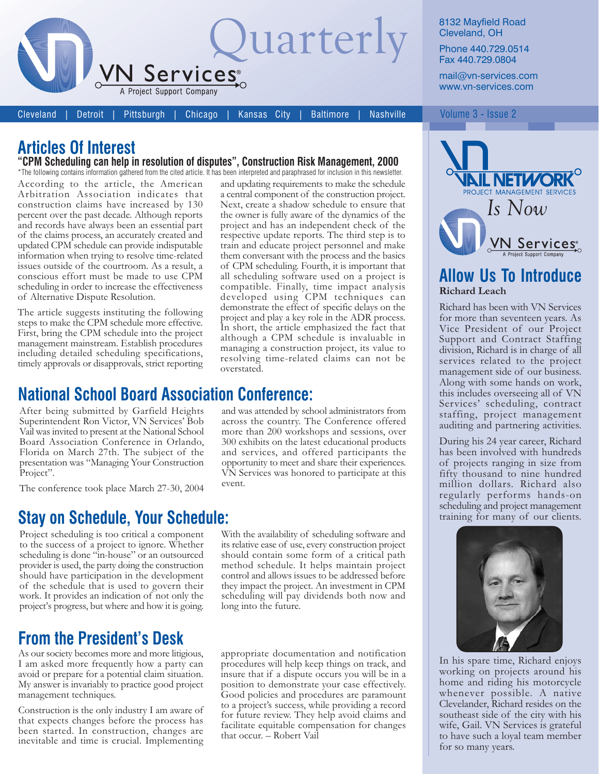

8132 Mayfield Road Cleveland, OH

Phone 440.729.0514 Fax 440.729.0804

mail@vn-services.com www.vn-services.com

Volume 3 - Issue 2

Cleveland **Detroit**  Pittsburgh Chicago

Kansas City **Baltimore** 

# **Articles Of Interest**

"CPM Scheduling can help in resolution of disputes", Construction Risk Management, 2000

\*The following contains information gathered from the cited article. It has been interpreted and paraphrased for inclusion in this newsletter. According to the article, the American Arbitration Association indicates that construction claims have increased by 130 percent over the past decade. Although reports and records have always been an essential part of the claims process, an accurately created and updated CPM schedule can provide indisputable information when trying to resolve time-related issues outside of the courtroom. As a result, a conscious effort must be made to use CPM scheduling in order to increase the effectiveness of Alternative Dispute Resolution.

The article suggests instituting the following steps to make the CPM schedule more effective. First, bring the CPM schedule into the project management mainstream. Establish procedures including detailed scheduling specifications, timely approvals or disapprovals, strict reporting

**National School Board Association Conference:** 

After being submitted by Garfield Heights Superintendent Ron Victor, VN Services' Bob Vail was invited to present at the National School Board Association Conference in Orlando, Florida on March 27th. The subject of the presentation was "Managing Your Construction Project".

The conference took place March 27-30, 2004

## **Stay on Schedule, Your Schedule:**

Project scheduling is too critical a component to the success of a project to ignore. Whether scheduling is done "in-house" or an outsourced provider is used, the party doing the construction should have participation in the development of the schedule that is used to govern their work. It provides an indication of not only the project's progress, but where and how it is going.

# **From the President's Desk**

As our society becomes more and more litigious, I am asked more frequently how a party can avoid or prepare for a potential claim situation. My answer is invariably to practice good project management techniques.

Construction is the only industry I am aware of that expects changes before the process has been started. In construction, changes are inevitable and time is crucial. Implementing

and updating requirements to make the schedule a central component of the construction project. Next, create a shadow schedule to ensure that the owner is fully aware of the dynamics of the project and has an independent check of the respective update reports. The third step is to train and educate project personnel and make them conversant with the process and the basics of CPM scheduling. Fourth, it is important that all scheduling software used on a project is compatible. Finally, time impact analysis developed using CPM techniques can demonstrate the effect of specific delays on the project and play a key role in the ADR process. In short, the article emphasized the fact that although a CPM schedule is invaluable in managing a construction project, its value to resolving time-related claims can not be overstated.

and was attended by school administrators from across the country. The Conference offered more than 200 workshops and sessions, over 300 exhibits on the latest educational products and services, and offered participants the opportunity to meet and share their experiences. VN Services was honored to participate at this event.

With the availability of scheduling software and its relative ease of use, every construction project should contain some form of a critical path method schedule. It helps maintain project control and allows issues to be addressed before they impact the project. An investment in CPM scheduling will pay dividends both now and long into the future.

appropriate documentation and notification procedures will help keep things on track, and insure that if a dispute occurs you will be in a position to demonstrate your case effectively. Good policies and procedures are paramount to a project's success, while providing a record for future review. They help avoid claims and facilitate equitable compensation for changes that occur. - Robert Vail



### **Allow Us To Introduce Richard Leach**

Richard has been with VN Services for more than seventeen years. As Vice President of our Project Support and Contract Staffing division, Richard is in charge of all services related to the project management side of our business. Along with some hands on work, this includes overseeing all of VN Services' scheduling, contract staffing, project management auditing and partnering activities.

During his 24 year career, Richard has been involved with hundreds of projects ranging in size from fifty thousand to nine hundred million dollars. Richard also regularly performs hands-on scheduling and project management training for many of our clients.



In his spare time, Richard enjoys working on projects around his home and riding his motorcycle whenever possible. A native Clevelander, Richard resides on the southeast side of the city with his wife, Gail. VN Services is grateful to have such a loyal team member for so many years.